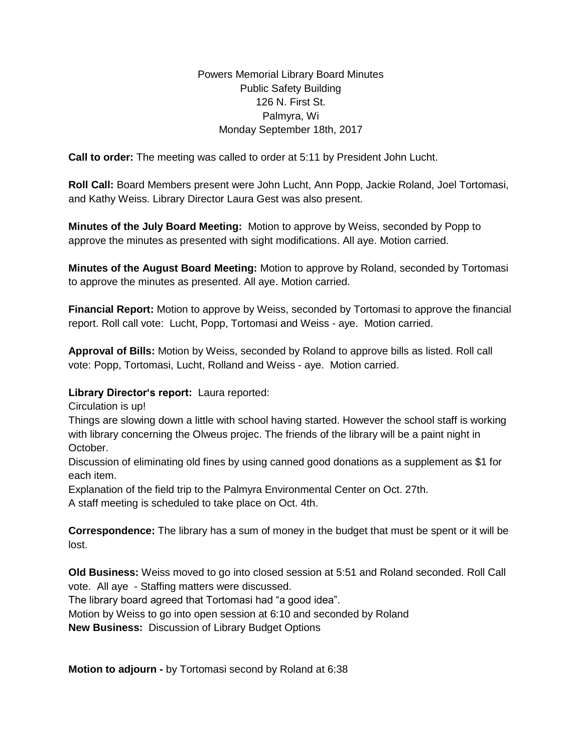## Powers Memorial Library Board Minutes Public Safety Building 126 N. First St. Palmyra, Wi Monday September 18th, 2017

**Call to order:** The meeting was called to order at 5:11 by President John Lucht.

**Roll Call:** Board Members present were John Lucht, Ann Popp, Jackie Roland, Joel Tortomasi, and Kathy Weiss. Library Director Laura Gest was also present.

**Minutes of the July Board Meeting:** Motion to approve by Weiss, seconded by Popp to approve the minutes as presented with sight modifications. All aye. Motion carried.

**Minutes of the August Board Meeting:** Motion to approve by Roland, seconded by Tortomasi to approve the minutes as presented. All aye. Motion carried.

**Financial Report:** Motion to approve by Weiss, seconded by Tortomasi to approve the financial report. Roll call vote: Lucht, Popp, Tortomasi and Weiss - aye. Motion carried.

**Approval of Bills:** Motion by Weiss, seconded by Roland to approve bills as listed. Roll call vote: Popp, Tortomasi, Lucht, Rolland and Weiss - aye. Motion carried.

## **Library Director's report:** Laura reported:

Circulation is up!

Things are slowing down a little with school having started. However the school staff is working with library concerning the Olweus projec. The friends of the library will be a paint night in October.

Discussion of eliminating old fines by using canned good donations as a supplement as \$1 for each item.

Explanation of the field trip to the Palmyra Environmental Center on Oct. 27th.

A staff meeting is scheduled to take place on Oct. 4th.

**Correspondence:** The library has a sum of money in the budget that must be spent or it will be lost.

**Old Business:** Weiss moved to go into closed session at 5:51 and Roland seconded. Roll Call vote. All aye - Staffing matters were discussed.

The library board agreed that Tortomasi had "a good idea".

Motion by Weiss to go into open session at 6:10 and seconded by Roland

**New Business:** Discussion of Library Budget Options

**Motion to adjourn -** by Tortomasi second by Roland at 6:38